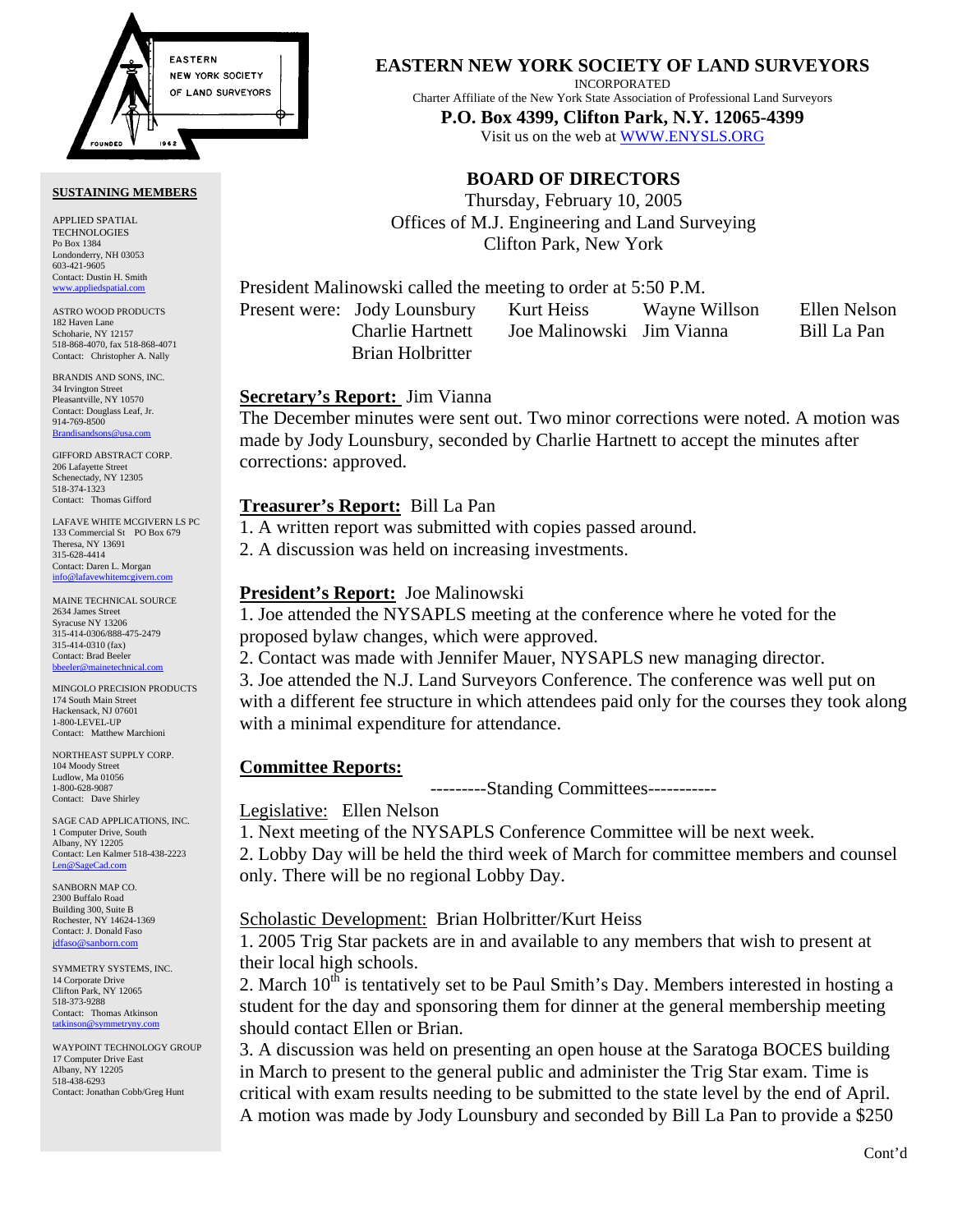

#### **SUSTAINING MEMBERS**

APPLIED SPATIAL TECHNOLOGIES Po Box 1384 Londonderry, NH 03053 603-421-9605 Contact: Dustin H. Smith <www.appliedspatial.com>

ASTRO WOOD PRODUCTS 182 Haven Lane Schoharie, NY 12157 518-868-4070, fax 518-868-4071 Contact: Christopher A. Nally

BRANDIS AND SONS, INC. 34 Irvington Street Pleasantville, NY 10570 Contact: Douglass Leaf, Jr. 914-769-8500 [Brandisandsons@usa.com](mailto:brandisandsons@usa.com)

GIFFORD ABSTRACT CORP. 206 Lafayette Street Schenectady, NY 12305 518-374-1323 Contact: Thomas Gifford

LAFAVE WHITE MCGIVERN LS PC 133 Commercial St PO Box 679 Theresa, NY 13691 315-628-4414 Contact: Daren L. Morgan [info@lafavewhitemcgivern.com](mailto:info@lafavewhitemcgivern.com)

MAINE TECHNICAL SOURCE 2634 James Street Syracuse NY 13206 315-414-0306/888-475-2479 315-414-0310 (fax) Contact: Brad Beeler [bbeeler@mainetechnical.com](mailto:bbeeler@mainetechnical.com)

MINGOLO PRECISION PRODUCTS 174 South Main Street Hackensack, NJ 07601 1-800-LEVEL-UP Contact: Matthew Marchioni

NORTHEAST SUPPLY CORP. 104 Moody Street Ludlow, Ma 01056 1-800-628-9087 Contact: Dave Shirley

SAGE CAD APPLICATIONS, INC. 1 Computer Drive, South Albany, NY 12205 Contact: Len Kalmer 518-438-2223 [Len@SageCad.com](mailto:len@sagecad.com)

SANBORN MAP CO. 2300 Buffalo Road Building 300, Suite B Rochester, NY 14624-1369 Contact: J. Donald Faso [jdfaso@sanborn.com](mailto:jdfaso@sanborn.com)

SYMMETRY SYSTEMS, INC. 14 Corporate Drive Clifton Park, NY 12065 518-373-9288 Contact: Thomas Atkinson [tatkinson@symmetryny.com](mailto:tatkinson@symmetryny.com)

WAYPOINT TECHNOLOGY GROUP 17 Computer Drive East Albany, NY 12205 518-438-6293 Contact: Jonathan Cobb/Greg Hunt

**EASTERN NEW YORK SOCIETY OF LAND SURVEYORS**

INCORPORATED

Charter Affiliate of the New York State Association of Professional Land Surveyors

**P.O. Box 4399, Clifton Park, N.Y. 12065-4399**  Visit us on the web a[t WWW.ENYSLS.ORG](www.enysls.org)

# **BOARD OF DIRECTORS**

Thursday, February 10, 2005 Offices of M.J. Engineering and Land Surveying Clifton Park, New York

President Malinowski called the meeting to order at 5:50 P.M.

Brian Holbritter

Present were: Jody Lounsbury Kurt Heiss Wayne Willson Ellen Nelson Charlie Hartnett Joe Malinowski Jim Vianna Bill La Pan

## **Secretary's Report:** Jim Vianna

The December minutes were sent out. Two minor corrections were noted. A motion was made by Jody Lounsbury, seconded by Charlie Hartnett to accept the minutes after corrections: approved.

## **Treasurer's Report:** Bill La Pan

1. A written report was submitted with copies passed around.

2. A discussion was held on increasing investments.

## **President's Report:** Joe Malinowski

1. Joe attended the NYSAPLS meeting at the conference where he voted for the proposed bylaw changes, which were approved.

2. Contact was made with Jennifer Mauer, NYSAPLS new managing director.

3. Joe attended the N.J. Land Surveyors Conference. The conference was well put on with a different fee structure in which attendees paid only for the courses they took along with a minimal expenditure for attendance.

# **Committee Reports:**

---------Standing Committees-----------

## Legislative: Ellen Nelson

1. Next meeting of the NYSAPLS Conference Committee will be next week.

2. Lobby Day will be held the third week of March for committee members and counsel only. There will be no regional Lobby Day.

# Scholastic Development: Brian Holbritter/Kurt Heiss

1. 2005 Trig Star packets are in and available to any members that wish to present at their local high schools.

2. March  $10^{th}$  is tentatively set to be Paul Smith's Day. Members interested in hosting a student for the day and sponsoring them for dinner at the general membership meeting should contact Ellen or Brian.

3. A discussion was held on presenting an open house at the Saratoga BOCES building in March to present to the general public and administer the Trig Star exam. Time is critical with exam results needing to be submitted to the state level by the end of April. A motion was made by Jody Lounsbury and seconded by Bill La Pan to provide a \$250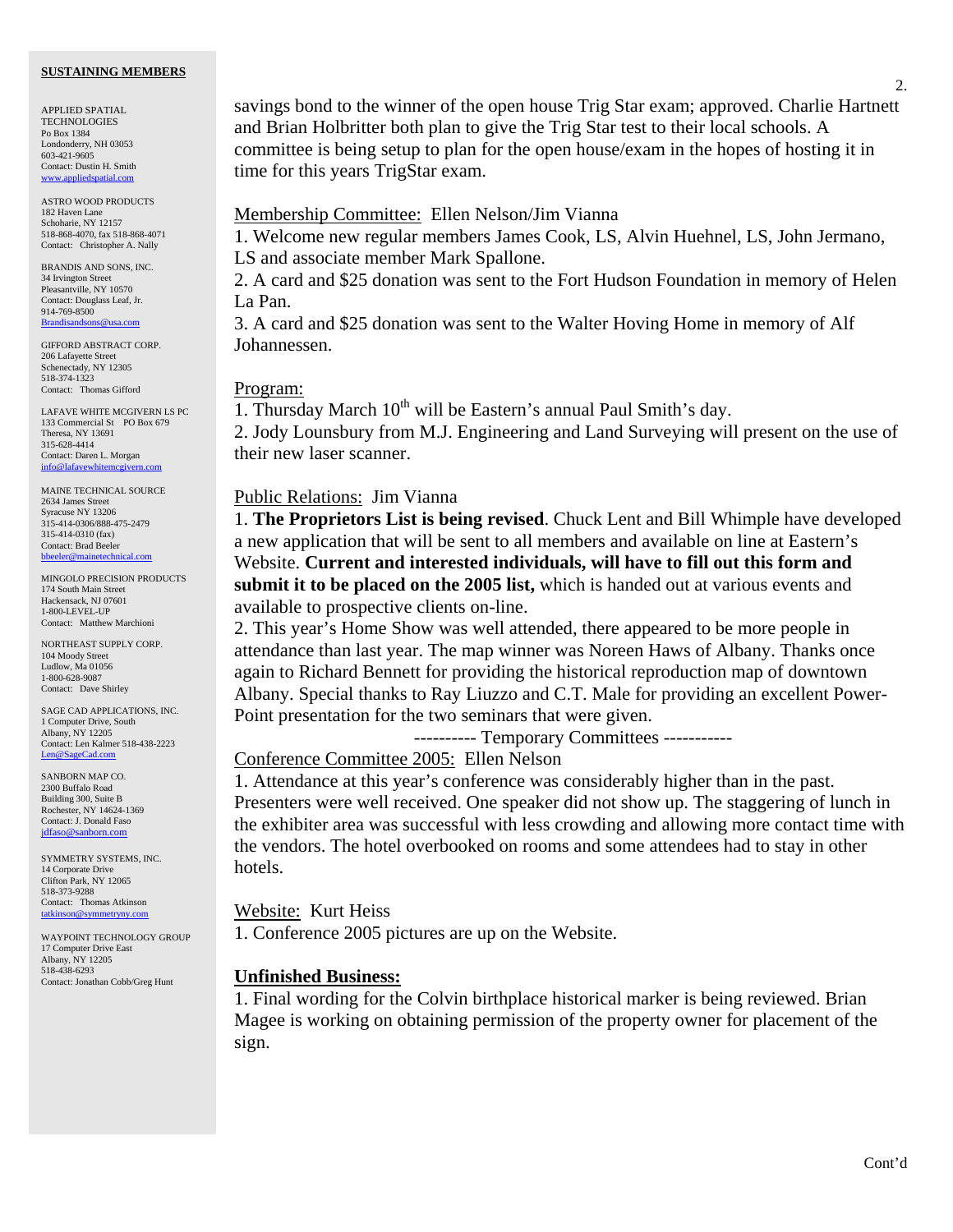#### **SUSTAINING MEMBERS**

APPLIED SPATIAL **TECHNOLOGIES** Po Box 1384 Londonderry, NH 03053 603-421-9605 Contact: Dustin H. Smith www.applied

ASTRO WOOD PRODUCTS 182 Haven Lane Schoharie, NY 12157 518-868-4070, fax 518-868-4071 Contact: Christopher A. Nally

BRANDIS AND SONS, INC. 34 Irvington Street Pleasantville, NY 10570 Contact: Douglass Leaf, Jr. 914-769-8500 [Brandisandsons@usa.com](mailto:brandisandsons@usa.com)

GIFFORD ABSTRACT CORP. 206 Lafayette Street Schenectady, NY 12305 518-374-1323 Contact: Thomas Gifford

LAFAVE WHITE MCGIVERN LS PC 133 Commercial St PO Box 679 Theresa, NY 13691 315-628-4414 Contact: Daren L. Morgan info@lafavewhitem

MAINE TECHNICAL SOURCE 2634 James Street Syracuse NY 13206 315-414-0306/888-475-2479 315-414-0310 (fax) Contact: Brad Beeler  $b$ bbeeler@mainet

MINGOLO PRECISION PRODUCTS 174 South Main Street Hackensack, NJ 07601 1-800-LEVEL-UP Contact: Matthew Marchioni

NORTHEAST SUPPLY CORP. 104 Moody Street Ludlow, Ma 01056 1-800-628-9087 Contact: Dave Shirley

SAGE CAD APPLICATIONS, INC. 1 Computer Drive, South Albany, NY 12205 Contact: Len Kalmer 518-438-2223 [Len@SageCad.com](mailto:len@sagecad.com)

SANBORN MAP CO. 2300 Buffalo Road Building 300, Suite B Rochester, NY 14624-1369 Contact: J. Donald Faso [jdfaso@sanborn.com](mailto:jdfaso@sanborn.com)

SYMMETRY SYSTEMS, INC. 14 Corporate Drive Clifton Park, NY 12065 518-373-9288 Contact: Thomas Atkinson [tatkinson@symmetryny.com](mailto:tatkinson@symmetryny.com)

WAYPOINT TECHNOLOGY GROUP 17 Computer Drive East Albany, NY 12205 518-438-6293 Contact: Jonathan Cobb/Greg Hunt

savings bond to the winner of the open house Trig Star exam; approved. Charlie Hartnett and Brian Holbritter both plan to give the Trig Star test to their local schools. A committee is being setup to plan for the open house/exam in the hopes of hosting it in time for this years TrigStar exam.

### Membership Committee: Ellen Nelson/Jim Vianna

1. Welcome new regular members James Cook, LS, Alvin Huehnel, LS, John Jermano, LS and associate member Mark Spallone.

2. A card and \$25 donation was sent to the Fort Hudson Foundation in memory of Helen La Pan.

3. A card and \$25 donation was sent to the Walter Hoving Home in memory of Alf Johannessen.

#### Program:

1. Thursday March  $10^{th}$  will be Eastern's annual Paul Smith's day.

2. Jody Lounsbury from M.J. Engineering and Land Surveying will present on the use of their new laser scanner.

## Public Relations: Jim Vianna

1. **The Proprietors List is being revised**. Chuck Lent and Bill Whimple have developed a new application that will be sent to all members and available on line at Eastern's Website. **Current and interested individuals, will have to fill out this form and submit it to be placed on the 2005 list,** which is handed out at various events and available to prospective clients on-line.

2. This year's Home Show was well attended, there appeared to be more people in attendance than last year. The map winner was Noreen Haws of Albany. Thanks once again to Richard Bennett for providing the historical reproduction map of downtown Albany. Special thanks to Ray Liuzzo and C.T. Male for providing an excellent Power-Point presentation for the two seminars that were given.

---------- Temporary Committees -----------

Conference Committee 2005: Ellen Nelson

1. Attendance at this year's conference was considerably higher than in the past. Presenters were well received. One speaker did not show up. The staggering of lunch in the exhibiter area was successful with less crowding and allowing more contact time with the vendors. The hotel overbooked on rooms and some attendees had to stay in other hotels.

#### Website: Kurt Heiss

1. Conference 2005 pictures are up on the Website.

#### **Unfinished Business:**

1. Final wording for the Colvin birthplace historical marker is being reviewed. Brian Magee is working on obtaining permission of the property owner for placement of the sign.

2.